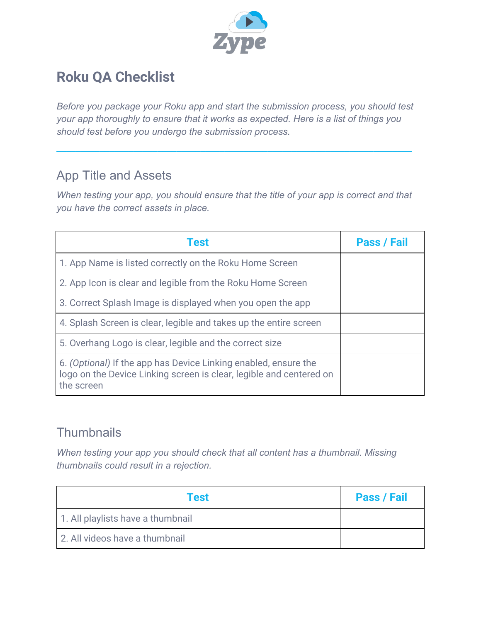

# **Roku QA Checklist**

*Before you package your Roku app and start the submission process, you should test your app thoroughly to ensure that it works as expected. Here is a list of things you should test before you undergo the submission process.*

**\_\_\_\_\_\_\_\_\_\_\_\_\_\_\_\_\_\_\_\_\_\_\_\_\_\_\_\_\_\_\_\_\_\_\_\_\_\_\_\_\_\_\_\_\_\_\_\_\_\_\_\_\_\_\_\_\_\_\_\_\_\_\_\_\_\_\_\_\_\_\_\_\_\_**

## App Title and Assets

*When testing your app, you should ensure that the title of your app is correct and that you have the correct assets in place.*

| <b>Test</b>                                                                                                                                          | Pass / Fail |
|------------------------------------------------------------------------------------------------------------------------------------------------------|-------------|
| 1. App Name is listed correctly on the Roku Home Screen                                                                                              |             |
| 2. App Icon is clear and legible from the Roku Home Screen                                                                                           |             |
| 3. Correct Splash Image is displayed when you open the app                                                                                           |             |
| 4. Splash Screen is clear, legible and takes up the entire screen                                                                                    |             |
| 5. Overhang Logo is clear, legible and the correct size                                                                                              |             |
| 6. (Optional) If the app has Device Linking enabled, ensure the<br>logo on the Device Linking screen is clear, legible and centered on<br>the screen |             |

## **Thumbnails**

*When testing your app you should check that all content has a thumbnail. Missing thumbnails could result in a rejection.*

| Test                              | Pass / Fail |
|-----------------------------------|-------------|
| 1. All playlists have a thumbnail |             |
| 2. All videos have a thumbnail    |             |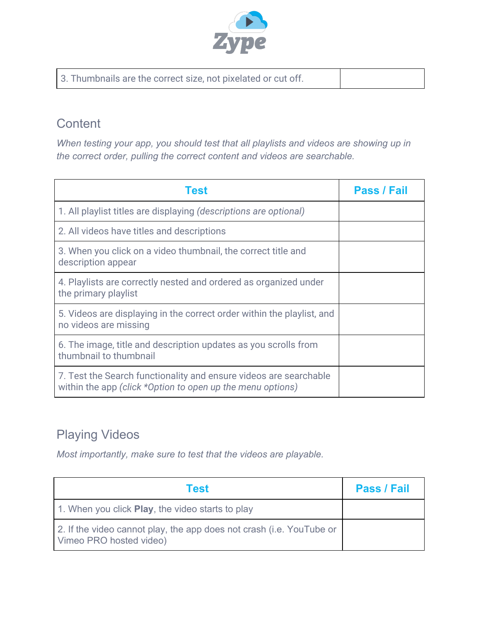

# **Content**

*When testing your app, you should test that all playlists and videos are showing up in the correct order, pulling the correct content and videos are searchable.*

| <b>Test</b>                                                                                                                     | Pass / Fail |
|---------------------------------------------------------------------------------------------------------------------------------|-------------|
| 1. All playlist titles are displaying (descriptions are optional)                                                               |             |
| 2. All videos have titles and descriptions                                                                                      |             |
| 3. When you click on a video thumbnail, the correct title and<br>description appear                                             |             |
| 4. Playlists are correctly nested and ordered as organized under<br>the primary playlist                                        |             |
| 5. Videos are displaying in the correct order within the playlist, and<br>no videos are missing                                 |             |
| 6. The image, title and description updates as you scrolls from<br>thumbnail to thumbnail                                       |             |
| 7. Test the Search functionality and ensure videos are searchable<br>within the app (click *Option to open up the menu options) |             |

# Playing Videos

*Most importantly, make sure to test that the videos are playable.*

| <b>Test</b>                                                                                     | Pass / Fail |
|-------------------------------------------------------------------------------------------------|-------------|
| 1. When you click <b>Play</b> , the video starts to play                                        |             |
| 2. If the video cannot play, the app does not crash (i.e. YouTube or<br>Vimeo PRO hosted video) |             |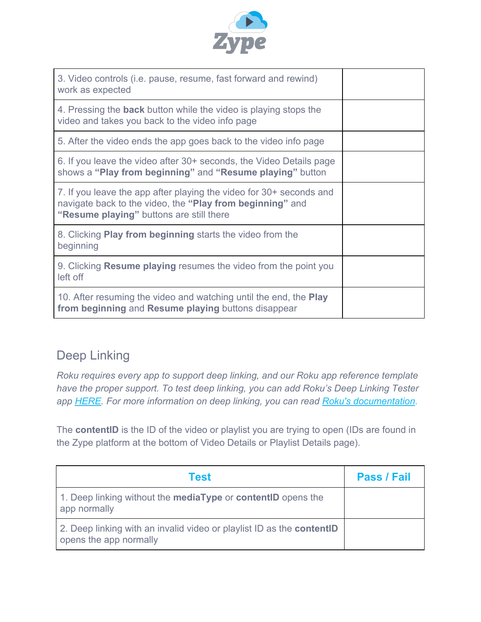

| 3. Video controls (i.e. pause, resume, fast forward and rewind)<br>work as expected                                                                                          |  |
|------------------------------------------------------------------------------------------------------------------------------------------------------------------------------|--|
| 4. Pressing the <b>back</b> button while the video is playing stops the<br>video and takes you back to the video info page                                                   |  |
| 5. After the video ends the app goes back to the video info page                                                                                                             |  |
| 6. If you leave the video after 30+ seconds, the Video Details page<br>shows a "Play from beginning" and "Resume playing" button                                             |  |
| 7. If you leave the app after playing the video for 30+ seconds and<br>navigate back to the video, the "Play from beginning" and<br>"Resume playing" buttons are still there |  |
| 8. Clicking Play from beginning starts the video from the<br>beginning                                                                                                       |  |
| 9. Clicking <b>Resume playing</b> resumes the video from the point you<br>left off                                                                                           |  |
| 10. After resuming the video and watching until the end, the <b>Play</b><br>from beginning and Resume playing buttons disappear                                              |  |

#### Deep Linking

*Roku requires every app to support deep linking, and our Roku app reference template have the proper support. To test deep linking, you can add Roku's Deep Linking Tester app HERE. For more information on deep linking, you can read Roku's documentation.*

The **contentID** is the ID of the video or playlist you are trying to open (IDs are found in the Zype platform at the bottom of Video Details or Playlist Details page).

| <b>Test</b>                                                                                     | Pass / Fail |
|-------------------------------------------------------------------------------------------------|-------------|
| 1. Deep linking without the <b>mediaType</b> or <b>contentID</b> opens the<br>app normally      |             |
| 2. Deep linking with an invalid video or playlist ID as the contentID<br>opens the app normally |             |